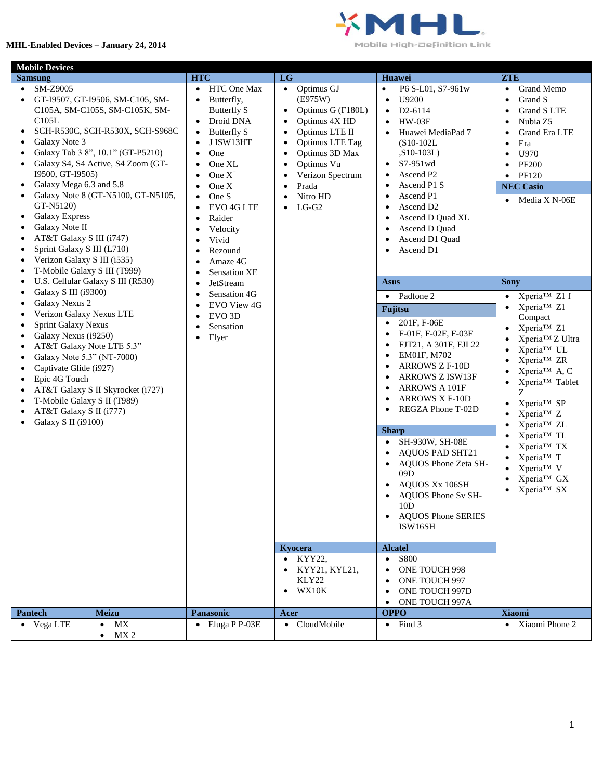## **MHL-Enabled Devices – January 24, 2014**



Mobile High-Definition Link

| <b>Mobile Devices</b>                                                                                                                                                                                                                                                                                                                                                                                                                                                                            |                                                                                                                                                                                                                                                        |                                                                                                                                                                                                                                                                                                        |                                                                                                                                                                                                                                                                                                                                                                                                                                    |                                                                                                                                                                          |
|--------------------------------------------------------------------------------------------------------------------------------------------------------------------------------------------------------------------------------------------------------------------------------------------------------------------------------------------------------------------------------------------------------------------------------------------------------------------------------------------------|--------------------------------------------------------------------------------------------------------------------------------------------------------------------------------------------------------------------------------------------------------|--------------------------------------------------------------------------------------------------------------------------------------------------------------------------------------------------------------------------------------------------------------------------------------------------------|------------------------------------------------------------------------------------------------------------------------------------------------------------------------------------------------------------------------------------------------------------------------------------------------------------------------------------------------------------------------------------------------------------------------------------|--------------------------------------------------------------------------------------------------------------------------------------------------------------------------|
| <b>Samsung</b>                                                                                                                                                                                                                                                                                                                                                                                                                                                                                   | <b>HTC</b>                                                                                                                                                                                                                                             | LG                                                                                                                                                                                                                                                                                                     | Huawei                                                                                                                                                                                                                                                                                                                                                                                                                             | <b>ZTE</b>                                                                                                                                                               |
| SM-Z9005<br>GT-I9507, GT-I9506, SM-C105, SM-<br>C105A, SM-C105S, SM-C105K, SM-<br>C105L<br>SCH-R530C, SCH-R530X, SCH-S968C<br>$\bullet$<br>Galaxy Note 3<br>Galaxy Tab 3 8", 10.1" (GT-P5210)<br>Galaxy S4, S4 Active, S4 Zoom (GT-<br>I9500, GT-I9505)<br>Galaxy Mega 6.3 and 5.8<br>$\bullet$<br>Galaxy Note 8 (GT-N5100, GT-N5105,<br>GT-N5120)<br><b>Galaxy Express</b><br>٠<br>Galaxy Note II<br>٠<br>AT&T Galaxy S III (i747)<br>Sprint Galaxy S III (L710)<br>Verizon Galaxy S III (i535) | HTC One Max<br>$\bullet$<br>Butterfly,<br>Butterfly S<br>Droid DNA<br>Butterfly S<br>$\bullet$<br>J ISW13HT<br>One<br>One XL<br>One $X^+$<br>One X<br>One S<br>$\bullet$<br>EVO <sub>4GLTE</sub><br>Raider<br>Velocity<br>Vivid<br>Rezound<br>Amaze 4G | Optimus GJ<br>$\bullet$<br>(E975W)<br>Optimus G (F180L)<br>$\bullet$<br>Optimus 4X HD<br>$\bullet$<br>Optimus LTE II<br>$\bullet$<br>Optimus LTE Tag<br>$\bullet$<br>Optimus 3D Max<br>٠<br>Optimus Vu<br>$\bullet$<br>Verizon Spectrum<br>Prada<br>$\bullet$<br>Nitro HD<br>$\bullet$<br>$LG-G2$<br>٠ | P6 S-L01, S7-961w<br>$\bullet$<br>U9200<br>$\bullet$<br>D <sub>2</sub> -6114<br>$\bullet$<br>$HW-03E$<br>٠<br>Huawei MediaPad 7<br>$\bullet$<br>$(S10-102L)$<br>$,S10-103L)$<br>S7-951wd<br>$\bullet$<br>Ascend P <sub>2</sub><br>$\bullet$<br>Ascend P1 S<br>٠<br>Ascend P1<br>$\bullet$<br>Ascend D <sub>2</sub><br>٠<br>Ascend D Quad XL<br>Ascend D Quad<br>$\bullet$<br>Ascend D1 Quad<br>$\bullet$<br>Ascend D1<br>$\bullet$ | Grand Memo<br>$\bullet$<br>Grand S<br>Grand S LTE<br>Nubia Z5<br>Grand Era LTE<br>Era<br>$\bullet$<br>U970<br><b>PF200</b><br>PF120<br><b>NEC Casio</b><br>Media X N-06E |
| T-Mobile Galaxy S III (T999)                                                                                                                                                                                                                                                                                                                                                                                                                                                                     | <b>Sensation XE</b>                                                                                                                                                                                                                                    |                                                                                                                                                                                                                                                                                                        |                                                                                                                                                                                                                                                                                                                                                                                                                                    |                                                                                                                                                                          |
| U.S. Cellular Galaxy S III (R530)<br>Galaxy S III (i9300)<br>٠                                                                                                                                                                                                                                                                                                                                                                                                                                   | JetStream                                                                                                                                                                                                                                              |                                                                                                                                                                                                                                                                                                        | Asus                                                                                                                                                                                                                                                                                                                                                                                                                               | <b>Sony</b>                                                                                                                                                              |
| <b>Galaxy Nexus 2</b>                                                                                                                                                                                                                                                                                                                                                                                                                                                                            | Sensation 4G<br>EVO View 4G                                                                                                                                                                                                                            |                                                                                                                                                                                                                                                                                                        | $\bullet$ Padfone 2                                                                                                                                                                                                                                                                                                                                                                                                                | Xperia™ Z1 f<br>$\bullet$<br>Xperia™ Z1                                                                                                                                  |
| Verizon Galaxy Nexus LTE                                                                                                                                                                                                                                                                                                                                                                                                                                                                         | EVO <sub>3</sub> D                                                                                                                                                                                                                                     |                                                                                                                                                                                                                                                                                                        | Fujitsu                                                                                                                                                                                                                                                                                                                                                                                                                            | Compact                                                                                                                                                                  |
| Sprint Galaxy Nexus<br>Galaxy Nexus (i9250)<br>AT&T Galaxy Note LTE 5.3"<br>Galaxy Note 5.3" (NT-7000)<br>٠<br>Captivate Glide (i927)<br>Epic 4G Touch<br>AT&T Galaxy S II Skyrocket (i727)<br>T-Mobile Galaxy S II (T989)<br>AT&T Galaxy S II (i777)<br>Galaxy S II (i9100)<br>$\bullet$                                                                                                                                                                                                        | Sensation<br>Flyer                                                                                                                                                                                                                                     |                                                                                                                                                                                                                                                                                                        | 201F, F-06E<br>$\bullet$<br>F-01F, F-02F, F-03F<br>$\bullet$<br>FJT21, A 301F, FJL22<br>٠<br>EM01F, M702<br>٠<br><b>ARROWS Z F-10D</b><br>ARROWS Z ISW13F<br>ARROWS A 101F<br><b>ARROWS X F-10D</b><br>$\bullet$<br>REGZA Phone T-02D<br>$\bullet$                                                                                                                                                                                 | Xperia™ Z1<br>Xperia™ Z Ultra<br>Xperia™ UL<br>Xperia™ ZR<br>Xperia <sup>™</sup> A, C<br>Xperia™ Tablet<br>Ζ<br>Xperia™ SP<br>$\bullet$<br>Xperia™ Z<br>Xperia™ ZL       |
|                                                                                                                                                                                                                                                                                                                                                                                                                                                                                                  |                                                                                                                                                                                                                                                        |                                                                                                                                                                                                                                                                                                        | <b>Sharp</b>                                                                                                                                                                                                                                                                                                                                                                                                                       | Xperia™ TL                                                                                                                                                               |
|                                                                                                                                                                                                                                                                                                                                                                                                                                                                                                  |                                                                                                                                                                                                                                                        |                                                                                                                                                                                                                                                                                                        | SH-930W, SH-08E<br><b>AQUOS PAD SHT21</b><br>AQUOS Phone Zeta SH-<br>$\bullet$<br>09D<br>AQUOS Xx 106SH<br>AQUOS Phone Sv SH-<br>10D<br><b>AQUOS Phone SERIES</b><br>ISW16SH                                                                                                                                                                                                                                                       | Xperia™ TX<br>Xperia™ T<br>Xperia™ V<br>Xperia™ GX<br>Xperia™ SX                                                                                                         |
|                                                                                                                                                                                                                                                                                                                                                                                                                                                                                                  |                                                                                                                                                                                                                                                        | Kyocera                                                                                                                                                                                                                                                                                                | <b>Alcatel</b>                                                                                                                                                                                                                                                                                                                                                                                                                     |                                                                                                                                                                          |
|                                                                                                                                                                                                                                                                                                                                                                                                                                                                                                  |                                                                                                                                                                                                                                                        | • KYY22,<br>KYY21, KYL21,<br>KLY22<br>WX10K                                                                                                                                                                                                                                                            | $\bullet$ S800<br>ONE TOUCH 998<br>ONE TOUCH 997<br>ONE TOUCH 997D<br>ONE TOUCH 997A                                                                                                                                                                                                                                                                                                                                               |                                                                                                                                                                          |
| <b>Pantech</b><br><b>Meizu</b>                                                                                                                                                                                                                                                                                                                                                                                                                                                                   | Panasonic                                                                                                                                                                                                                                              | Acer                                                                                                                                                                                                                                                                                                   | <b>OPPO</b>                                                                                                                                                                                                                                                                                                                                                                                                                        | <b>Xiaomi</b>                                                                                                                                                            |
| • Vega LTE<br>МX<br>$\bullet$<br>MX <sub>2</sub><br>$\bullet$                                                                                                                                                                                                                                                                                                                                                                                                                                    | $\bullet$ Eluga P P-03E                                                                                                                                                                                                                                | • CloudMobile                                                                                                                                                                                                                                                                                          | $\bullet$ Find 3                                                                                                                                                                                                                                                                                                                                                                                                                   | • Xiaomi Phone 2                                                                                                                                                         |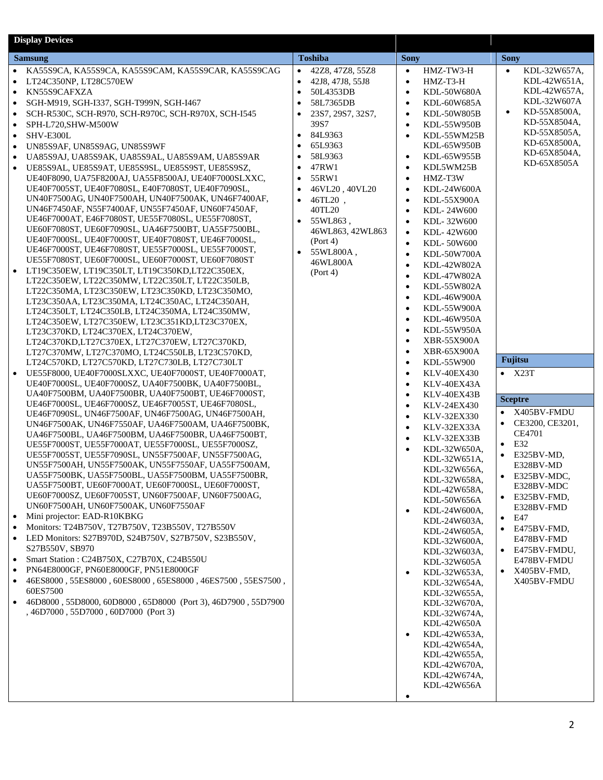| <b>Toshiba</b><br><b>Sony</b><br><b>Sony</b><br><b>Samsung</b><br>KA55S9CA, KA55S9CA, KA55S9CAM, KA55S9CAR, KA55S9CAG<br>42Z8, 47Z8, 55Z8<br>HMZ-TW3-H<br>KDL-32W657A,<br>$\bullet$<br>$\bullet$<br>$\bullet$<br>$\bullet$<br>HMZ-T3-H<br>KDL-42W651A,<br>LT24C350NP, LT28C570EW<br>42J8, 47J8, 55J8<br>$\bullet$<br>$\bullet$<br>KDL-42W657A,<br>KN55S9CAFXZA<br>50L4353DB<br>KDL-50W680A<br>$\bullet$<br>$\bullet$<br>$\bullet$<br>KDL-32W607A<br>58L7365DB<br>SGH-M919, SGH-I337, SGH-T999N, SGH-I467<br>KDL-60W685A<br>$\bullet$<br>$\bullet$<br>٠<br>KD-55X8500A.<br>$\bullet$<br>SCH-R530C, SCH-R970, SCH-R970C, SCH-R970X, SCH-I545<br>23S7, 29S7, 32S7,<br>KDL-50W805B<br>$\bullet$<br>KD-55X8504A.<br>39S7<br>KDL-55W950B<br>SPH-L720,SHW-M500W<br>$\bullet$<br>KD-55X8505A,<br>84L9363<br>SHV-E300L<br>$\bullet$<br>KDL-55WM25B<br>$\bullet$<br>$\bullet$<br>KD-65X8500A,<br>65L9363<br>UN85S9AF, UN85S9AG, UN85S9WF<br>KDL-65W950B<br>$\bullet$<br>KD-65X8504A.<br>58L9363<br>KDL-65W955B<br>UA85S9AJ, UA85S9AK, UA85S9AL, UA85S9AM, UA85S9AR<br>$\bullet$<br>$\bullet$<br>$\bullet$<br>KD-65X8505A<br>47RW1<br>KDL5WM25B<br>UE85S9AL, UE85S9AT, UE85S9SL, UE85S9ST, UE85S9SZ,<br>$\bullet$<br>$\bullet$<br>$\bullet$<br>UE40F8090, UA75F8200AJ, UA55F8500AJ, UE40F7000SLXXC,<br>55RW1<br>HMZ-T3W<br>$\bullet$<br>$\bullet$<br>UE40F7005ST, UE40F7080SL, E40F7080ST, UE40F7090SL,<br>46VL20, 40VL20<br>KDL-24W600A<br>$\bullet$<br>$\bullet$<br>UN40F7500AG, UN40F7500AH, UN40F7500AK, UN46F7400AF,<br>$\bullet$<br>46TL20,<br>KDL-55X900A<br>$\bullet$<br>UN46F7450AF, N55F7400AF, UN55F7450AF, UN60F7450AF,<br>40TL20<br>KDL-24W600<br>$\bullet$<br>UE46F7000AT, E46F7080ST, UE55F7080SL, UE55F7080ST,<br>55WL863,<br>$\bullet$<br>KDL-32W600<br>$\bullet$<br>UE60F7080ST, UE60F7090SL, UA46F7500BT, UA55F7500BL,<br>46WL863, 42WL863<br>KDL-42W600<br>$\bullet$<br>UE40F7000SL, UE40F7000ST, UE40F7080ST, UE46F7000SL,<br>(Port 4)<br>KDL-50W600<br>$\bullet$<br>UE46F7000ST, UE46F7080ST, UE55F7000SL, UE55F7000ST,<br>$\bullet$<br>55WL800A,<br>KDL-50W700A<br>$\bullet$<br>UE55F7080ST, UE60F7000SL, UE60F7000ST, UE60F7080ST<br>46WL800A<br>KDL-42W802A<br>$\bullet$<br>LT19C350EW, LT19C350LT, LT19C350KD,LT22C350EX,<br>$\bullet$<br>(Port 4)<br>KDL-47W802A<br>$\bullet$<br>LT22C350EW, LT22C350MW, LT22C350LT, LT22C350LB,<br>KDL-55W802A<br>$\bullet$<br>LT22C350MA, LT23C350EW, LT23C350KD, LT23C350MO,<br>KDL-46W900A<br>$\bullet$<br>LT23C350AA, LT23C350MA, LT24C350AC, LT24C350AH,<br>KDL-55W900A<br>$\bullet$<br>LT24C350LT, LT24C350LB, LT24C350MA, LT24C350MW,<br>KDL-46W950A<br>$\bullet$<br>LT24C350EW, LT27C350EW, LT23C351KD,LT23C370EX,<br>KDL-55W950A<br>$\bullet$<br>LT23C370KD, LT24C370EX, LT24C370EW,<br><b>XBR-55X900A</b><br>$\bullet$<br>LT24C370KD,LT27C370EX, LT27C370EW, LT27C370KD,<br><b>XBR-65X900A</b><br>LT27C370MW, LT27C370MO, LT24C550LB, LT23C570KD,<br>$\bullet$<br>Fujitsu<br>LT24C570KD, LT27C570KD, LT27C730LB, LT27C730LT<br>KDL-55W900<br>$\bullet$<br>UE55F8000, UE40F7000SLXXC, UE40F7000ST, UE40F7000AT,<br>$\bullet$ X23T<br><b>KLV-40EX430</b><br>$\bullet$<br>UE40F7000SL, UE40F7000SZ, UA40F7500BK, UA40F7500BL,<br>KLV-40EX43A<br>$\bullet$<br>UA40F7500BM, UA40F7500BR, UA40F7500BT, UE46F7000ST,<br>KLV-40EX43B<br>$\bullet$<br><b>Sceptre</b><br>UE46F7000SL, UE46F7000SZ, UE46F7005ST, UE46F7080SL,<br><b>KLV-24EX430</b><br>$\bullet$<br>X405BV-FMDU<br>UE46F7090SL, UN46F7500AF, UN46F7500AG, UN46F7500AH,<br>KLV-32EX330<br>$\bullet$<br>CE3200, CE3201,<br>UN46F7500AK, UN46F7550AF, UA46F7500AM, UA46F7500BK,<br>KLV-32EX33A<br>$\bullet$<br>CE4701<br>UA46F7500BL, UA46F7500BM, UA46F7500BR, UA46F7500BT,<br>KLV-32EX33B<br>$\bullet$<br>E32<br>UE55F7000ST, UE55F7000AT, UE55F7000SL, UE55F7000SZ,<br>$\bullet$<br>KDL-32W650A,<br>$\bullet$<br>UE55F7005ST, UE55F7090SL, UN55F7500AF, UN55F7500AG,<br>E325BV-MD,<br>KDL-32W651A,<br>UN55F7500AH, UN55F7500AK, UN55F7550AF, UA55F7500AM,<br>E328BV-MD<br>KDL-32W656A,<br>UA55F7500BK, UA55F7500BL, UA55F7500BM, UA55F7500BR,<br>$\bullet$ E325BV-MDC,<br>KDL-32W658A,<br>UA55F7500BT, UE60F7000AT, UE60F7000SL, UE60F7000ST,<br>E328BV-MDC<br>KDL-42W658A,<br>UE60F7000SZ, UE60F7005ST, UN60F7500AF, UN60F7500AG,<br>E325BV-FMD,<br>KDL-50W656A<br>UN60F7500AH, UN60F7500AK, UN60F7550AF<br>E328BV-FMD<br>KDL-24W600A,<br>$\bullet$<br>Mini projector: EAD-R10KBKG<br>$\bullet$<br>E47<br>KDL-24W603A.<br>Monitors: T24B750V, T27B750V, T23B550V, T27B550V<br>E475BV-FMD,<br>KDL-24W605A,<br>LED Monitors: S27B970D, S24B750V, S27B750V, S23B550V,<br>E478BV-FMD<br>KDL-32W600A,<br>S27B550V, SB970<br>E475BV-FMDU,<br>KDL-32W603A,<br>Smart Station: C24B750X, C27B70X, C24B550U<br>$\bullet$<br>E478BV-FMDU<br>KDL-32W605A<br>PN64E8000GF, PN60E8000GF, PN51E8000GF<br>X405BV-FMD,<br>KDL-32W653A,<br>$\bullet$ |
|----------------------------------------------------------------------------------------------------------------------------------------------------------------------------------------------------------------------------------------------------------------------------------------------------------------------------------------------------------------------------------------------------------------------------------------------------------------------------------------------------------------------------------------------------------------------------------------------------------------------------------------------------------------------------------------------------------------------------------------------------------------------------------------------------------------------------------------------------------------------------------------------------------------------------------------------------------------------------------------------------------------------------------------------------------------------------------------------------------------------------------------------------------------------------------------------------------------------------------------------------------------------------------------------------------------------------------------------------------------------------------------------------------------------------------------------------------------------------------------------------------------------------------------------------------------------------------------------------------------------------------------------------------------------------------------------------------------------------------------------------------------------------------------------------------------------------------------------------------------------------------------------------------------------------------------------------------------------------------------------------------------------------------------------------------------------------------------------------------------------------------------------------------------------------------------------------------------------------------------------------------------------------------------------------------------------------------------------------------------------------------------------------------------------------------------------------------------------------------------------------------------------------------------------------------------------------------------------------------------------------------------------------------------------------------------------------------------------------------------------------------------------------------------------------------------------------------------------------------------------------------------------------------------------------------------------------------------------------------------------------------------------------------------------------------------------------------------------------------------------------------------------------------------------------------------------------------------------------------------------------------------------------------------------------------------------------------------------------------------------------------------------------------------------------------------------------------------------------------------------------------------------------------------------------------------------------------------------------------------------------------------------------------------------------------------------------------------------------------------------------------------------------------------------------------------------------------------------------------------------------------------------------------------------------------------------------------------------------------------------------------------------------------------------------------------------------------------------------------------------------------------------------------------------------------------------------------------------------------------------------------------------------------------------------------------------------------------------------------------------------------------------------------------------------------------------------------------------------------------------------------------------------------------------------------------------------------------------------------------------------------------------------------------------------------------------------------------------------------------------------------------------------------------------------------------------------------------------------|
|                                                                                                                                                                                                                                                                                                                                                                                                                                                                                                                                                                                                                                                                                                                                                                                                                                                                                                                                                                                                                                                                                                                                                                                                                                                                                                                                                                                                                                                                                                                                                                                                                                                                                                                                                                                                                                                                                                                                                                                                                                                                                                                                                                                                                                                                                                                                                                                                                                                                                                                                                                                                                                                                                                                                                                                                                                                                                                                                                                                                                                                                                                                                                                                                                                                                                                                                                                                                                                                                                                                                                                                                                                                                                                                                                                                                                                                                                                                                                                                                                                                                                                                                                                                                                                                                                                                                                                                                                                                                                                                                                                                                                                                                                                                                                                                                                                                    |
| 46ES8000, 55ES8000, 60ES8000, 65ES8000, 46ES7500, 55ES7500,<br>X405BV-FMDU<br>KDL-32W654A.<br>60ES7500<br>KDL-32W655A,<br>46D8000, 55D8000, 60D8000, 65D8000 (Port 3), 46D7900, 55D7900<br>$\bullet$<br>KDL-32W670A,<br>, 46D7000, 55D7000, 60D7000 (Port 3)<br>KDL-32W674A,<br>KDL-42W650A<br>KDL-42W653A,<br>$\bullet$<br>KDL-42W654A,<br>KDL-42W655A,<br>KDL-42W670A,                                                                                                                                                                                                                                                                                                                                                                                                                                                                                                                                                                                                                                                                                                                                                                                                                                                                                                                                                                                                                                                                                                                                                                                                                                                                                                                                                                                                                                                                                                                                                                                                                                                                                                                                                                                                                                                                                                                                                                                                                                                                                                                                                                                                                                                                                                                                                                                                                                                                                                                                                                                                                                                                                                                                                                                                                                                                                                                                                                                                                                                                                                                                                                                                                                                                                                                                                                                                                                                                                                                                                                                                                                                                                                                                                                                                                                                                                                                                                                                                                                                                                                                                                                                                                                                                                                                                                                                                                                                                           |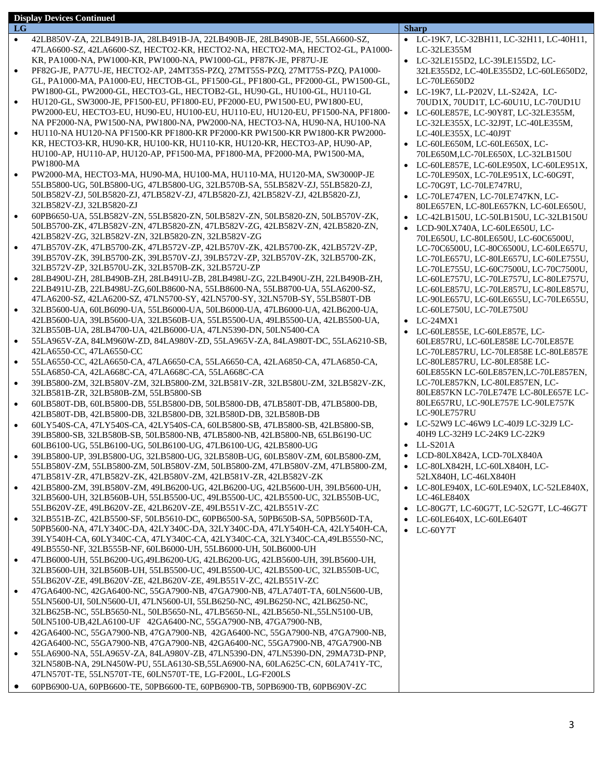|           | <b>Display Devices Continued</b>                                                                                                                               |                                                                                  |
|-----------|----------------------------------------------------------------------------------------------------------------------------------------------------------------|----------------------------------------------------------------------------------|
| LG        |                                                                                                                                                                | <b>Sharp</b>                                                                     |
| $\bullet$ | 42LB850V-ZA, 22LB491B-JA, 28LB491B-JA, 22LB490B-JE, 28LB490B-JE, 55LA6600-SZ,                                                                                  | • LC-19K7, LC-32BH11, LC-32H11, LC-40H11,<br>LC-32LE355M                         |
|           | 47LA6600-SZ, 42LA6600-SZ, HECTO2-KR, HECTO2-NA, HECTO2-MA, HECTO2-GL, PA1000-<br>KR, PA1000-NA, PW1000-KR, PW1000-NA, PW1000-GL, PF87K-JE, PF87U-JE            |                                                                                  |
| $\bullet$ | PF82G-JE, PA77U-JE, HECTO2-AP, 24MT35S-PZQ, 27MT55S-PZQ, 27MT75S-PZQ, PA1000-                                                                                  | • LC-32LE155D2, LC-39LE155D2, LC-<br>32LE355D2, LC-40LE355D2, LC-60LE650D2,      |
|           | GL, PA1000-MA, PA1000-EU, HECTOB-GL, PF1500-GL, PF1800-GL, PF2000-GL, PW1500-GL,                                                                               | LC-70LE650D2                                                                     |
|           | PW1800-GL, PW2000-GL, HECTO3-GL, HECTOB2-GL, HU90-GL, HU100-GL, HU110-GL                                                                                       | • LC-19K7, LL-P202V, LL-S242A, LC-                                               |
| $\bullet$ | HU120-GL, SW3000-JE, PF1500-EU, PF1800-EU, PF2000-EU, PW1500-EU, PW1800-EU,                                                                                    | 70UD1X, 70UD1T, LC-60U1U, LC-70UD1U                                              |
|           | PW2000-EU, HECTO3-EU, HU90-EU, HU100-EU, HU110-EU, HU120-EU, PF1500-NA, PF1800-                                                                                | • LC-60LE857E, LC-90Y8T, LC-32LE355M,                                            |
|           | NA PF2000-NA, PW1500-NA, PW1800-NA, PW2000-NA, HECTO3-NA, HU90-NA, HU100-NA                                                                                    | LC-32LE355X, LC-32J9T, LC-40LE355M,                                              |
| $\bullet$ | HU110-NA HU120-NA PF1500-KR PF1800-KR PF2000-KR PW1500-KR PW1800-KR PW2000-                                                                                    | LC-40LE355X, LC-40J9T                                                            |
|           | KR. HECTO3-KR. HU90-KR. HU100-KR. HU110-KR. HU120-KR. HECTO3-AP. HU90-AP.                                                                                      | • LC-60LE650M, LC-60LE650X, LC-                                                  |
|           | HU100-AP, HU110-AP, HU120-AP, PF1500-MA, PF1800-MA, PF2000-MA, PW1500-MA,                                                                                      | 70LE650M,LC-70LE650X, LC-32LB150U                                                |
|           | <b>PW1800-MA</b>                                                                                                                                               | • LC-60LE857E, LC-60LE950X, LC-60LE951X,                                         |
| $\bullet$ | PW2000-MA, HECTO3-MA, HU90-MA, HU100-MA, HU110-MA, HU120-MA, SW3000P-JE                                                                                        | LC-70LE950X, LC-70LE951X, LC-60G9T,                                              |
|           | 55LB5800-UG, 50LB5800-UG, 47LB5800-UG, 32LB570B-SA, 55LB582V-ZJ, 55LB5820-ZJ,                                                                                  | LC-70G9T, LC-70LE747RU,                                                          |
|           | 50LB582V-ZJ, 50LB5820-ZJ, 47LB582V-ZJ, 47LB5820-ZJ, 42LB582V-ZJ, 42LB5820-ZJ,                                                                                  | • LC-70LE747EN, LC-70LE747KN, LC-                                                |
|           | 32LB582V-ZJ, 32LB5820-ZJ                                                                                                                                       | 80LE657EN, LC-80LE657KN, LC-60LE650U,                                            |
| $\bullet$ | 60PB6650-UA, 55LB582V-ZN, 55LB5820-ZN, 50LB582V-ZN, 50LB5820-ZN, 50LB570V-ZK,                                                                                  | • LC-42LB150U, LC-50LB150U, LC-32LB150U                                          |
|           | 50LB5700-ZK, 47LB582V-ZN, 47LB5820-ZN, 47LB582V-ZG, 42LB582V-ZN, 42LB5820-ZN,<br>42LB582V-ZG, 32LB582V-ZN, 32LB5820-ZN, 32LB582V-ZG                            | • LCD-90LX740A, LC-60LE650U, LC-                                                 |
| $\bullet$ | 47LB570V-ZK, 47LB5700-ZK, 47LB572V-ZP, 42LB570V-ZK, 42LB5700-ZK, 42LB572V-ZP,                                                                                  | 70LE650U, LC-80LE650U, LC-60C6500U,                                              |
|           | 39LB570V-ZK, 39LB5700-ZK, 39LB570V-ZJ, 39LB572V-ZP, 32LB570V-ZK, 32LB5700-ZK,                                                                                  | LC-70C6500U, LC-80C6500U, LC-60LE657U,<br>LC-70LE657U, LC-80LE657U, LC-60LE755U, |
|           | 32LB572V-ZP, 32LB570U-ZK, 32LB570B-ZK, 32LB572U-ZP                                                                                                             | LC-70LE755U, LC-60C7500U, LC-70C7500U,                                           |
| $\bullet$ | 28LB490U-ZH, 28LB490B-ZH, 28LB491U-ZB, 28LB498U-ZG, 22LB490U-ZH, 22LB490B-ZH,                                                                                  | LC-60LE757U, LC-70LE757U, LC-80LE757U,                                           |
|           | 22LB491U-ZB, 22LB498U-ZG, 60LB8600-NA, 55LB8600-NA, 55LB8700-UA, 55LA6200-SZ,                                                                                  | LC-60LE857U, LC-70LE857U, LC-80LE857U,                                           |
|           | 47LA6200-SZ, 42LA6200-SZ, 47LN5700-SY, 42LN5700-SY, 32LN570B-SY, 55LB580T-DB                                                                                   | LC-90LE657U, LC-60LE655U, LC-70LE655U,                                           |
| $\bullet$ | 32LB5600-UA, 60LB6090-UA, 55LB6000-UA, 50LB6000-UA, 47LB6000-UA, 42LB6200-UA,                                                                                  | LC-60LE750U, LC-70LE750U                                                         |
|           | 42LB5600-UA, 39LB5600-UA, 32LB560B-UA, 55LB5500-UA, 49LB5500-UA, 42LB5500-UA,                                                                                  | $\bullet$ LC-24MX1                                                               |
|           | 32LB550B-UA, 28LB4700-UA, 42LB6000-UA, 47LN5390-DN, 50LN5400-CA                                                                                                | • LC-60LE855E, LC-60LE857E, LC-                                                  |
| $\bullet$ | 55LA965V-ZA, 84LM960W-ZD, 84LA980V-ZD, 55LA965V-ZA, 84LA980T-DC, 55LA6210-SB,                                                                                  | 60LE857RU, LC-60LE858E LC-70LE857E                                               |
|           | 42LA6550-CC, 47LA6550-CC                                                                                                                                       | LC-70LE857RU, LC-70LE858E LC-80LE857E                                            |
| $\bullet$ | 55LA6550-CC, 42LA6650-CA, 47LA6650-CA, 55LA6650-CA, 42LA6850-CA, 47LA6850-CA,                                                                                  | LC-80LE857RU, LC-80LE858E LC-                                                    |
|           | 55LA6850-CA, 42LA668C-CA, 47LA668C-CA, 55LA668C-CA                                                                                                             | 60LE855KN LC-60LE857EN,LC-70LE857EN,                                             |
| $\bullet$ | 39LB5800-ZM, 32LB580V-ZM, 32LB5800-ZM, 32LB581V-ZR, 32LB580U-ZM, 32LB582V-ZK,                                                                                  | LC-70LE857KN, LC-80LE857EN, LC-<br>80LE857KN LC-70LE747E LC-80LE657E LC-         |
|           | 32LB581B-ZR, 32LB580B-ZM, 55LB5800-SB<br>60LB580T-DB, 60LB5800-DB, 55LB5800-DB, 50LB5800-DB, 47LB580T-DB, 47LB5800-DB,                                         | 80LE657RU, LC-90LE757E LC-90LE757K                                               |
| $\bullet$ | 42LB580T-DB, 42LB5800-DB, 32LB5800-DB, 32LB580D-DB, 32LB580B-DB                                                                                                | LC-90LE757RU                                                                     |
| $\bullet$ | 60LY540S-CA, 47LY540S-CA, 42LY540S-CA, 60LB5800-SB, 47LB5800-SB, 42LB5800-SB,                                                                                  | • LC-52W9 LC-46W9 LC-40J9 LC-32J9 LC-                                            |
|           | 39LB5800-SB, 32LB580B-SB, 50LB5800-NB, 47LB5800-NB, 42LB5800-NB, 65LB6190-UC                                                                                   | 40H9 LC-32H9 LC-24K9 LC-22K9                                                     |
|           | 60LB6100-UG, 55LB6100-UG, 50LB6100-UG, 47LB6100-UG, 42LB5800-UG                                                                                                | $\bullet$ LL-S201A                                                               |
| $\bullet$ | 39LB5800-UP, 39LB5800-UG, 32LB5800-UG, 32LB580B-UG, 60LB580V-ZM, 60LB5800-ZM,                                                                                  | • LCD-80LX842A, LCD-70LX840A                                                     |
|           | 55LB580V-ZM, 55LB5800-ZM, 50LB580V-ZM, 50LB5800-ZM, 47LB580V-ZM, 47LB5800-ZM,                                                                                  | • LC-80LX842H, LC-60LX840H, LC-                                                  |
|           | 47LB581V-ZR, 47LB582V-ZK, 42LB580V-ZM, 42LB581V-ZR, 42LB582V-ZK                                                                                                | 52LX840H, LC-46LX840H                                                            |
| $\bullet$ | 42LB5800-ZM, 39LB580V-ZM, 49LB6200-UG, 42LB6200-UG, 42LB5600-UH, 39LB5600-UH,                                                                                  | • LC-80LE940X, LC-60LE940X, LC-52LE840X,                                         |
|           | 32LB5600-UH, 32LB560B-UH, 55LB5500-UC, 49LB5500-UC, 42LB5500-UC, 32LB550B-UC,                                                                                  | $LC-46LE840X$                                                                    |
|           | 55LB620V-ZE, 49LB620V-ZE, 42LB620V-ZE, 49LB551V-ZC, 42LB551V-ZC                                                                                                | • LC-80G7T, LC-60G7T, LC-52G7T, LC-46G7T                                         |
| $\bullet$ | 32LB551B-ZC, 42LB5500-SF, 50LB5610-DC, 60PB6500-SA, 50PB650B-SA, 50PB560D-TA,<br>50PB5600-NA, 47LY340C-DA, 42LY340C-DA, 32LY340C-DA, 47LY540H-CA, 42LY540H-CA, | LC-60LE640X, LC-60LE640T<br>$\bullet$ LC-60Y7T                                   |
|           | 39LY540H-CA, 60LY340C-CA, 47LY340C-CA, 42LY340C-CA, 32LY340C-CA, 49LB5550-NC,                                                                                  |                                                                                  |
|           | 49LB5550-NF, 32LB555B-NF, 60LB6000-UH, 55LB6000-UH, 50LB6000-UH                                                                                                |                                                                                  |
| $\bullet$ | 47LB6000-UH, 55LB6200-UG, 49LB6200-UG, 42LB6200-UG, 42LB5600-UH, 39LB5600-UH,                                                                                  |                                                                                  |
|           | 32LB5600-UH, 32LB560B-UH, 55LB5500-UC, 49LB5500-UC, 42LB5500-UC, 32LB550B-UC,                                                                                  |                                                                                  |
|           | 55LB620V-ZE, 49LB620V-ZE, 42LB620V-ZE, 49LB551V-ZC, 42LB551V-ZC                                                                                                |                                                                                  |
| $\bullet$ | 47GA6400-NC, 42GA6400-NC, 55GA7900-NB, 47GA7900-NB, 47LA740T-TA, 60LN5600-UB,                                                                                  |                                                                                  |
|           | 55LN5600-UI, 50LN5600-UI, 47LN5600-UI, 55LB6250-NC, 49LB6250-NC, 42LB6250-NC,                                                                                  |                                                                                  |
|           | 32LB625B-NC, 55LB5650-NL, 50LB5650-NL, 47LB5650-NL, 42LB5650-NL, 55LN5100-UB,                                                                                  |                                                                                  |
|           | 50LN5100-UB,42LA6100-UF 42GA6400-NC, 55GA7900-NB, 47GA7900-NB,                                                                                                 |                                                                                  |
| $\bullet$ | 42GA6400-NC, 55GA7900-NB, 47GA7900-NB, 42GA6400-NC, 55GA7900-NB, 47GA7900-NB,                                                                                  |                                                                                  |
|           | 42GA6400-NC, 55GA7900-NB, 47GA7900-NB, 42GA6400-NC, 55GA7900-NB, 47GA7900-NB                                                                                   |                                                                                  |
| $\bullet$ | 55LA6900-NA, 55LA965V-ZA, 84LA980V-ZB, 47LN5390-DN, 47LN5390-DN, 29MA73D-PNP,                                                                                  |                                                                                  |
|           | 32LN580B-NA, 29LN450W-PU, 55LA6130-SB, 55LA6900-NA, 60LA625C-CN, 60LA741Y-TC,<br>47LN570T-TE, 55LN570T-TE, 60LN570T-TE, LG-F200L, LG-F200LS                    |                                                                                  |
|           |                                                                                                                                                                |                                                                                  |

60PB6900-UA, 60PB6600-TE, 50PB6600-TE, 60PB6900-TB, 50PB6900-TB, 60PB690V-ZC

3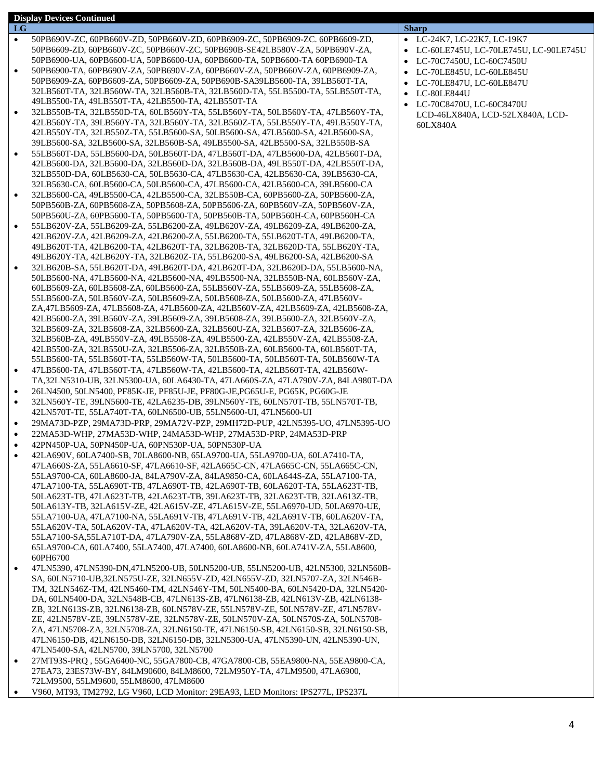| LG        |                                                                                                                                                                  | <b>Sharp</b> |     |
|-----------|------------------------------------------------------------------------------------------------------------------------------------------------------------------|--------------|-----|
| $\bullet$ | 50PB690V-ZC, 60PB660V-ZD, 50PB660V-ZD, 60PB6909-ZC, 50PB6909-ZC. 60PB6609-ZD,                                                                                    | $\bullet$    | LC  |
|           | 50PB6609-ZD, 60PB660V-ZC, 50PB660V-ZC, 50PB690B-SE42LB580V-ZA, 50PB690V-ZA,                                                                                      | $\bullet$ LC |     |
|           | 50PB6900-UA, 60PB6600-UA, 50PB6600-UA, 60PB6600-TA, 50PB6600-TA 60PB6900-TA                                                                                      | $\bullet$    | LC  |
|           | 50PB6900-TA, 60PB690V-ZA, 50PB690V-ZA, 60PB660V-ZA, 50PB660V-ZA, 60PB6909-ZA,                                                                                    |              | LC  |
|           | 50PB6909-ZA, 60PB6609-ZA, 50PB6609-ZA, 50PB690B-SA39LB5600-TA, 39LB560T-TA,                                                                                      |              | LC  |
|           | 32LB560T-TA, 32LB560W-TA, 32LB560B-TA, 32LB560D-TA, 55LB5500-TA, 55LB550T-TA,                                                                                    |              | LC  |
|           | 49LB5500-TA, 49LB550T-TA, 42LB5500-TA, 42LB550T-TA<br>32LB550B-TA, 32LB550D-TA, 60LB560Y-TA, 55LB560Y-TA, 50LB560Y-TA, 47LB560Y-TA,                              | $\bullet$    | LC  |
|           | 42LB560Y-TA, 39LB560Y-TA, 32LB560Y-TA, 32LB560Z-TA, 55LB550Y-TA, 49LB550Y-TA,                                                                                    |              | LC  |
|           | 42LB550Y-TA, 32LB550Z-TA, 55LB5600-SA, 50LB5600-SA, 47LB5600-SA, 42LB5600-SA,                                                                                    |              | 601 |
|           | 39LB5600-SA, 32LB5600-SA, 32LB560B-SA, 49LB5500-SA, 42LB5500-SA, 32LB550B-SA                                                                                     |              |     |
|           | 55LB560T-DA, 55LB5600-DA, 50LB560T-DA, 47LB560T-DA, 47LB5600-DA, 42LB560T-DA,                                                                                    |              |     |
|           | 42LB5600-DA, 32LB5600-DA, 32LB560D-DA, 32LB560B-DA, 49LB550T-DA, 42LB550T-DA,                                                                                    |              |     |
|           | 32LB550D-DA, 60LB5630-CA, 50LB5630-CA, 47LB5630-CA, 42LB5630-CA, 39LB5630-CA,                                                                                    |              |     |
|           | 32LB5630-CA, 60LB5600-CA, 50LB5600-CA, 47LB5600-CA, 42LB5600-CA, 39LB5600-CA                                                                                     |              |     |
|           | 32LB5600-CA, 49LB5500-CA, 42LB5500-CA, 32LB550B-CA, 60PB5600-ZA, 50PB5600-ZA,                                                                                    |              |     |
|           | 50PB560B-ZA, 60PB5608-ZA, 50PB5608-ZA, 50PB5606-ZA, 60PB560V-ZA, 50PB560V-ZA,                                                                                    |              |     |
|           | 50PB560U-ZA, 60PB5600-TA, 50PB5600-TA, 50PB560B-TA, 50PB560H-CA, 60PB560H-CA                                                                                     |              |     |
|           | 55LB620V-ZA, 55LB6209-ZA, 55LB6200-ZA, 49LB620V-ZA, 49LB6209-ZA, 49LB6200-ZA,                                                                                    |              |     |
|           | 42LB620V-ZA, 42LB6209-ZA, 42LB6200-ZA, 55LB6200-TA, 55LB620T-TA, 49LB6200-TA,                                                                                    |              |     |
|           | 49LB620T-TA, 42LB6200-TA, 42LB620T-TA, 32LB620B-TA, 32LB620D-TA, 55LB620Y-TA,<br>49LB620Y-TA, 42LB620Y-TA, 32LB620Z-TA, 55LB6200-SA, 49LB6200-SA, 42LB6200-SA    |              |     |
|           | 32LB620B-SA, 55LB620T-DA, 49LB620T-DA, 42LB620T-DA, 32LB620D-DA, 55LB5600-NA,                                                                                    |              |     |
|           | 50LB5600-NA, 47LB5600-NA, 42LB5600-NA, 49LB5500-NA, 32LB550B-NA, 60LB560V-ZA,                                                                                    |              |     |
|           | 60LB5609-ZA, 60LB5608-ZA, 60LB5600-ZA, 55LB560V-ZA, 55LB5609-ZA, 55LB5608-ZA,                                                                                    |              |     |
|           | 55LB5600-ZA, 50LB560V-ZA, 50LB5609-ZA, 50LB5608-ZA, 50LB5600-ZA, 47LB560V-                                                                                       |              |     |
|           | ZA,47LB5609-ZA, 47LB5608-ZA, 47LB5600-ZA, 42LB560V-ZA, 42LB5609-ZA, 42LB5608-ZA,                                                                                 |              |     |
|           | 42LB5600-ZA, 39LB560V-ZA, 39LB5609-ZA, 39LB5608-ZA, 39LB5600-ZA, 32LB560V-ZA,                                                                                    |              |     |
|           | 32LB5609-ZA, 32LB5608-ZA, 32LB5600-ZA, 32LB560U-ZA, 32LB5607-ZA, 32LB5606-ZA,                                                                                    |              |     |
|           | 32LB560B-ZA, 49LB550V-ZA, 49LB5508-ZA, 49LB5500-ZA, 42LB550V-ZA, 42LB5508-ZA,                                                                                    |              |     |
|           | 42LB5500-ZA, 32LB550U-ZA, 32LB5506-ZA, 32LB550B-ZA, 60LB5600-TA, 60LB560T-TA,<br>55LB5600-TA, 55LB560T-TA, 55LB560W-TA, 50LB5600-TA, 50LB560T-TA, 50LB560W-TA    |              |     |
| ٠         | 47LB5600-TA, 47LB560T-TA, 47LB560W-TA, 42LB5600-TA, 42LB560T-TA, 42LB560W-                                                                                       |              |     |
|           | TA, 32LN5310-UB, 32LN5300-UA, 60LA6430-TA, 47LA660S-ZA, 47LA790V-ZA, 84LA980T-DA                                                                                 |              |     |
| ٠         | 26LN4500, 50LN5400, PF85K-JE, PF85U-JE, PF80G-JE, PG65U-E, PG65K, PG60G-JE                                                                                       |              |     |
|           | 32LN560Y-TE, 39LN5600-TE, 42LA6235-DB, 39LN560Y-TE, 60LN570T-TB, 55LN570T-TB,                                                                                    |              |     |
|           | 42LN570T-TE, 55LA740T-TA, 60LN6500-UB, 55LN5600-UI, 47LN5600-UI                                                                                                  |              |     |
| ٠         | 29MA73D-PZP, 29MA73D-PRP, 29MA72V-PZP, 29MH72D-PUP, 42LN5395-UO, 47LN5395-UO                                                                                     |              |     |
| ٠         | 22MA53D-WHP, 27MA53D-WHP, 24MA53D-WHP, 27MA53D-PRP, 24MA53D-PRP                                                                                                  |              |     |
| ٠         | 42PN450P-UA, 50PN450P-UA, 60PN530P-UA, 50PN530P-UA                                                                                                               |              |     |
|           | 42LA690V, 60LA7400-SB, 70LA8600-NB, 65LA9700-UA, 55LA9700-UA, 60LA7410-TA,                                                                                       |              |     |
|           | 47LA660S-ZA, 55LA6610-SF, 47LA6610-SF, 42LA665C-CN, 47LA665C-CN, 55LA665C-CN,                                                                                    |              |     |
|           | 55LA9700-CA, 60LA8600-JA, 84LA790V-ZA, 84LA9850-CA, 60LA644S-ZA, 55LA7100-TA,                                                                                    |              |     |
|           | 47LA7100-TA, 55LA690T-TB, 47LA690T-TB, 42LA690T-TB, 60LA620T-TA, 55LA623T-TB,<br>50LA623T-TB, 47LA623T-TB, 42LA623T-TB, 39LA623T-TB, 32LA623T-TB, 32LA613Z-TB,   |              |     |
|           | 50LA613Y-TB, 32LA615V-ZE, 42LA615V-ZE, 47LA615V-ZE, 55LA6970-UD, 50LA6970-UE,                                                                                    |              |     |
|           | 55LA7100-UA, 47LA7100-NA, 55LA691V-TB, 47LA691V-TB, 42LA691V-TB, 60LA620V-TA,                                                                                    |              |     |
|           | 55LA620V-TA, 50LA620V-TA, 47LA620V-TA, 42LA620V-TA, 39LA620V-TA, 32LA620V-TA,                                                                                    |              |     |
|           | 55LA7100-SA,55LA710T-DA, 47LA790V-ZA, 55LA868V-ZD, 47LA868V-ZD, 42LA868V-ZD,                                                                                     |              |     |
|           | 65LA9700-CA, 60LA7400, 55LA7400, 47LA7400, 60LA8600-NB, 60LA741V-ZA, 55LA8600,                                                                                   |              |     |
|           | 60PH6700                                                                                                                                                         |              |     |
| $\bullet$ | 47LN5390, 47LN5390-DN,47LN5200-UB, 50LN5200-UB, 55LN5200-UB, 42LN5300, 32LN560B-                                                                                 |              |     |
|           | SA, 60LN5710-UB, 32LN575U-ZE, 32LN655V-ZD, 42LN655V-ZD, 32LN5707-ZA, 32LN546B-                                                                                   |              |     |
|           | TM, 32LN546Z-TM, 42LN5460-TM, 42LN546Y-TM, 50LN5400-BA, 60LN5420-DA, 32LN5420-<br>DA, 60LN5400-DA, 32LN548B-CB, 47LN613S-ZB, 47LN6138-ZB, 42LN613V-ZB, 42LN6138- |              |     |
|           | ZB, 32LN613S-ZB, 32LN6138-ZB, 60LN578V-ZE, 55LN578V-ZE, 50LN578V-ZE, 47LN578V-                                                                                   |              |     |
|           | ZE, 42LN578V-ZE, 39LN578V-ZE, 32LN578V-ZE, 50LN570V-ZA, 50LN570S-ZA, 50LN5708-                                                                                   |              |     |
|           | ZA, 47LN5708-ZA, 32LN5708-ZA, 32LN6150-TE, 47LN6150-SB, 42LN6150-SB, 32LN6150-SB,                                                                                |              |     |
|           | 47LN6150-DB, 42LN6150-DB, 32LN6150-DB, 32LN5300-UA, 47LN5390-UN, 42LN5390-UN,                                                                                    |              |     |
|           | 47LN5400-SA, 42LN5700, 39LN5700, 32LN5700                                                                                                                        |              |     |
| ٠         | 27MT93S-PRQ, 55GA6400-NC, 55GA7800-CB, 47GA7800-CB, 55EA9800-NA, 55EA9800-CA,                                                                                    |              |     |
|           | 27EA73, 23ES73W-BY, 84LM90600, 84LM8600, 72LM950Y-TA, 47LM9500, 47LA6900,                                                                                        |              |     |
|           | 72LM9500, 55LM9600, 55LM8600, 47LM8600                                                                                                                           |              |     |
|           | V960, MT93, TM2792, LG V960, LCD Monitor: 29EA93, LED Monitors: IPS277L, IPS237L                                                                                 |              |     |

**Display Devices Continued**

- LC-24K7, LC-22K7, LC-19K7
- LC-60LE745U, LC-70LE745U, LC-90LE745U
- LC-70C7450U, LC-60C7450U
- LC-70LE845U, LC-60LE845U
- LC-70LE847U, LC-60LE847U
- LC-80LE844U
- LC-70C8470U, LC-60C8470U LCD-46LX840A, LCD-52LX840A, LCD-60LX840A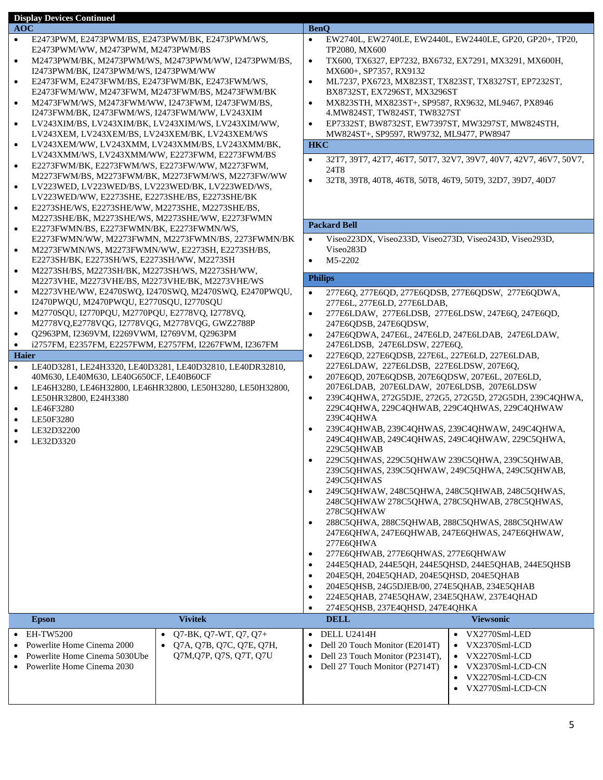|                                                                     | <b>Display Devices Continued</b>                                                                               |                                                            |                                                                            |                                                                                               |  |                                                                   |
|---------------------------------------------------------------------|----------------------------------------------------------------------------------------------------------------|------------------------------------------------------------|----------------------------------------------------------------------------|-----------------------------------------------------------------------------------------------|--|-------------------------------------------------------------------|
| <b>AOC</b>                                                          |                                                                                                                |                                                            |                                                                            | <b>BenQ</b>                                                                                   |  | EW2740L, EW2740LE, EW2440L, EW2440LE, GP20, GP20+, TP20,          |
| $\bullet$                                                           | E2473PWM, E2473PWM/BS, E2473PWM/BK, E2473PWM/WS,<br>E2473PWM/WW, M2473PWM, M2473PWM/BS                         |                                                            | $\bullet$                                                                  | TP2080, MX600                                                                                 |  |                                                                   |
| $\bullet$                                                           |                                                                                                                | M2473PWM/BK, M2473PWM/WS, M2473PWM/WW, I2473PWM/BS,        | $\bullet$                                                                  | TX600, TX6327, EP7232, BX6732, EX7291, MX3291, MX600H,                                        |  |                                                                   |
|                                                                     | I2473PWM/BK, I2473PWM/WS, I2473PWM/WW                                                                          |                                                            |                                                                            | MX600+, SP7357, RX9132                                                                        |  |                                                                   |
| $\bullet$                                                           | E2473FWM, E2473FWM/BS, E2473FWM/BK, E2473FWM/WS,                                                               |                                                            | $\bullet$                                                                  | ML7237, PX6723, MX823ST, TX823ST, TX8327ST, EP7232ST,                                         |  |                                                                   |
|                                                                     | E2473FWM/WW, M2473FWM, M2473FWM/BS, M2473FWM/BK                                                                |                                                            |                                                                            | BX8732ST, EX7296ST, MX3296ST                                                                  |  |                                                                   |
| $\bullet$                                                           | M2473FWM/WS, M2473FWM/WW, I2473FWM, I2473FWM/BS,                                                               |                                                            | $\bullet$                                                                  | MX823STH, MX823ST+, SP9587, RX9632, ML9467, PX8946                                            |  |                                                                   |
|                                                                     | I2473FWM/BK, I2473FWM/WS, I2473FWM/WW, LV243XIM                                                                |                                                            |                                                                            | 4. MW824ST, TW824ST, TW8327ST                                                                 |  |                                                                   |
| $\bullet$                                                           | LV243XEM, LV243XEM/BS, LV243XEM/BK, LV243XEM/WS                                                                | LV243XIM/BS, LV243XIM/BK, LV243XIM/WS, LV243XIM/WW,        | $\bullet$                                                                  | EP7332ST, BW8732ST, EW7397ST, MW3297ST, MW824STH,<br>MW824ST+, SP9597, RW9732, ML9477, PW8947 |  |                                                                   |
|                                                                     |                                                                                                                | LV243XEM/WW, LV243XMM, LV243XMM/BS, LV243XMM/BK,           |                                                                            | <b>HKC</b>                                                                                    |  |                                                                   |
|                                                                     | LV243XMM/WS, LV243XMM/WW, E2273FWM, E2273FWM/BS                                                                |                                                            |                                                                            |                                                                                               |  |                                                                   |
| $\bullet$                                                           | E2273FWM/BK, E2273FWM/WS, E2273FW/WW, M2273FWM,                                                                |                                                            | $\bullet$                                                                  | 24T8                                                                                          |  | 32T7, 39T7, 42T7, 46T7, 50T7, 32V7, 39V7, 40V7, 42V7, 46V7, 50V7, |
|                                                                     |                                                                                                                | M2273FWM/BS, M2273FWM/BK, M2273FWM/WS, M2273FW/WW          | $\bullet$                                                                  | 32T8, 39T8, 40T8, 46T8, 50T8, 46T9, 50T9, 32D7, 39D7, 40D7                                    |  |                                                                   |
| $\bullet$                                                           | LV223WED, LV223WED/BS, LV223WED/BK, LV223WED/WS,                                                               |                                                            |                                                                            |                                                                                               |  |                                                                   |
|                                                                     | LV223WED/WW, E2273SHE, E2273SHE/BS, E2273SHE/BK                                                                |                                                            |                                                                            |                                                                                               |  |                                                                   |
| $\bullet$                                                           | E2273SHE/WS, E2273SHE/WW, M2273SHE, M2273SHE/BS,                                                               |                                                            |                                                                            |                                                                                               |  |                                                                   |
| $\bullet$                                                           | M2273SHE/BK, M2273SHE/WS, M2273SHE/WW, E2273FWMN<br>E2273FWMN/BS, E2273FWMN/BK, E2273FWMN/WS,                  |                                                            |                                                                            | <b>Packard Bell</b>                                                                           |  |                                                                   |
|                                                                     |                                                                                                                | E2273FWMN/WW, M2273FWMN, M2273FWMN/BS, 2273FWMN/BK         | $\bullet$                                                                  | Viseo223DX, Viseo233D, Viseo273D, Viseo243D, Viseo293D,                                       |  |                                                                   |
| $\bullet$                                                           | M2273FWMN/WS, M2273FWMN/WW, E2273SH, E2273SH/BS,                                                               |                                                            |                                                                            | Viseo283D                                                                                     |  |                                                                   |
|                                                                     | E2273SH/BK, E2273SH/WS, E2273SH/WW, M2273SH                                                                    |                                                            | M5-2202<br>$\bullet$                                                       |                                                                                               |  |                                                                   |
| $\bullet$                                                           | M2273SH/BS, M2273SH/BK, M2273SH/WS, M2273SH/WW,                                                                |                                                            |                                                                            |                                                                                               |  |                                                                   |
|                                                                     | M2273VHE, M2273VHE/BS, M2273VHE/BK, M2273VHE/WS                                                                |                                                            |                                                                            | <b>Philips</b>                                                                                |  |                                                                   |
| $\bullet$                                                           |                                                                                                                | M2273VHE/WW, E2470SWQ, I2470SWQ, M2470SWQ, E2470PWQU,      | $\bullet$                                                                  | 277E6Q, 277E6QD, 277E6QDSB, 277E6QDSW, 277E6QDWA,                                             |  |                                                                   |
|                                                                     | I2470PWQU, M2470PWQU, E2770SQU, I2770SQU                                                                       |                                                            | $\bullet$                                                                  | 277E6L, 277E6LD, 277E6LDAB,                                                                   |  |                                                                   |
|                                                                     | M2770SQU, I2770PQU, M2770PQU, E2778VQ, I2778VQ,<br>$\bullet$<br>M2778VQ,E2778VQG, I2778VQG, M2778VQG, GWZ2788P |                                                            | 277E6LDAW, 277E6LDSB, 277E6LDSW, 247E6Q, 247E6QD,<br>247E6QDSB, 247E6QDSW, |                                                                                               |  |                                                                   |
| Q2963PM, I2369VM, I2269VWM, I2769VM, Q2963PM<br>$\bullet$           |                                                                                                                | $\bullet$                                                  | 247E6QDWA, 247E6L, 247E6LD, 247E6LDAB, 247E6LDAW,                          |                                                                                               |  |                                                                   |
| i2757FM, E2357FM, E2257FWM, E2757FM, I2267FWM, I2367FM<br>$\bullet$ |                                                                                                                |                                                            | 247E6LDSB, 247E6LDSW, 227E6Q,                                              |                                                                                               |  |                                                                   |
| Haier                                                               |                                                                                                                |                                                            | $\bullet$                                                                  | 227E6QD, 227E6QDSB, 227E6L, 227E6LD, 227E6LDAB,                                               |  |                                                                   |
| $\bullet$                                                           |                                                                                                                | LE40D3281, LE24H3320, LE40D3281, LE40D32810, LE40DR32810,  |                                                                            | 227E6LDAW, 227E6LDSB, 227E6LDSW, 207E6Q,                                                      |  |                                                                   |
|                                                                     | 40M630, LE40M630, LE40G650CF, LE40B60CF                                                                        |                                                            | $\bullet$                                                                  | 207E6QD, 207E6QDSB, 207E6QDSW, 207E6L, 207E6LD,                                               |  |                                                                   |
| $\bullet$                                                           |                                                                                                                | LE46H3280, LE46H32800, LE46HR32800, LE50H3280, LE50H32800, |                                                                            | 207E6LDAB, 207E6LDAW, 207E6LDSB, 207E6LDSW                                                    |  |                                                                   |
| $\bullet$                                                           | LE50HR32800, E24H3380<br>LE46F3280                                                                             |                                                            | $\bullet$                                                                  | 229C4QHWA, 229C4QHWAB, 229C4QHWAS, 229C4QHWAW                                                 |  | 239C4QHWA, 272G5DJE, 272G5, 272G5D, 272G5DH, 239C4QHWA,           |
| ٠                                                                   | LE50F3280                                                                                                      |                                                            |                                                                            | 239C4QHWA                                                                                     |  |                                                                   |
|                                                                     | LE32D32200                                                                                                     |                                                            | 239C4QHWAB, 239C4QHWAS, 239C4QHWAW, 249C4QHWA,<br>$\bullet$                |                                                                                               |  |                                                                   |
| $\bullet$                                                           | LE32D3320                                                                                                      |                                                            |                                                                            | 249C4QHWAB, 249C4QHWAS, 249C4QHWAW, 229C5QHWA,                                                |  |                                                                   |
|                                                                     |                                                                                                                |                                                            |                                                                            | 229C5QHWAB                                                                                    |  |                                                                   |
|                                                                     |                                                                                                                |                                                            | $\bullet$                                                                  | 229C5QHWAS, 229C5QHWAW 239C5QHWA, 239C5QHWAB,                                                 |  |                                                                   |
|                                                                     |                                                                                                                |                                                            |                                                                            | 239C5QHWAS, 239C5QHWAW, 249C5QHWA, 249C5QHWAB,<br>249C5QHWAS                                  |  |                                                                   |
|                                                                     |                                                                                                                |                                                            | $\bullet$                                                                  | 249C5QHWAW, 248C5QHWA, 248C5QHWAB, 248C5QHWAS,                                                |  |                                                                   |
|                                                                     |                                                                                                                |                                                            |                                                                            | 248C5QHWAW 278C5QHWA, 278C5QHWAB, 278C5QHWAS,                                                 |  |                                                                   |
|                                                                     |                                                                                                                |                                                            |                                                                            | 278C5QHWAW                                                                                    |  |                                                                   |
|                                                                     |                                                                                                                |                                                            | $\bullet$                                                                  | 288C5QHWA, 288C5QHWAB, 288C5QHWAS, 288C5QHWAW                                                 |  |                                                                   |
|                                                                     |                                                                                                                |                                                            |                                                                            | 247E6QHWA, 247E6QHWAB, 247E6QHWAS, 247E6QHWAW,                                                |  |                                                                   |
|                                                                     |                                                                                                                |                                                            |                                                                            | 277E6QHWA                                                                                     |  |                                                                   |
|                                                                     |                                                                                                                |                                                            | $\bullet$<br>$\bullet$                                                     | 277E6QHWAB, 277E6QHWAS, 277E6QHWAW<br>244E5QHAD, 244E5QH, 244E5QHSD, 244E5QHAB, 244E5QHSB     |  |                                                                   |
|                                                                     |                                                                                                                |                                                            | $\bullet$                                                                  | 204E5QH, 204E5QHAD, 204E5QHSD, 204E5QHAB                                                      |  |                                                                   |
|                                                                     |                                                                                                                |                                                            | $\bullet$                                                                  | 204E5QHSB, 24G5DJEB/00, 274E5QHAB, 234E5QHAB                                                  |  |                                                                   |
|                                                                     |                                                                                                                |                                                            | $\bullet$                                                                  | 224E5QHAB, 274E5QHAW, 234E5QHAW, 237E4QHAD                                                    |  |                                                                   |
|                                                                     |                                                                                                                |                                                            | $\bullet$                                                                  | 274E5QHSB, 237E4QHSD, 247E4QHKA                                                               |  |                                                                   |
|                                                                     | <b>Epson</b>                                                                                                   | <b>Vivitek</b>                                             |                                                                            | <b>DELL</b>                                                                                   |  | <b>Viewsonic</b>                                                  |
|                                                                     | $\bullet$ EH-TW5200                                                                                            | Q7-BK, Q7-WT, Q7, Q7+                                      | $\bullet$                                                                  | DELL U2414H                                                                                   |  | VX2770Sml-LED                                                     |
|                                                                     | • Powerlite Home Cinema 2000                                                                                   | Q7A, Q7B, Q7C, Q7E, Q7H,<br>$\bullet$                      | $\bullet$                                                                  | Dell 20 Touch Monitor (E2014T)                                                                |  | VX2370Sml-LCD                                                     |
|                                                                     | Powerlite Home Cinema 5030Ube                                                                                  | Q7M, Q7P, Q7S, Q7T, Q7U                                    | $\bullet$                                                                  | Dell 23 Touch Monitor (P2314T),                                                               |  | VX2270Sml-LCD<br>$\bullet$                                        |
|                                                                     | Powerlite Home Cinema 2030                                                                                     |                                                            | $\bullet$                                                                  | Dell 27 Touch Monitor (P2714T)                                                                |  | VX2370Sml-LCD-CN                                                  |
|                                                                     |                                                                                                                |                                                            |                                                                            |                                                                                               |  | VX2270Sml-LCD-CN                                                  |
|                                                                     |                                                                                                                |                                                            |                                                                            |                                                                                               |  | VX2770Sml-LCD-CN                                                  |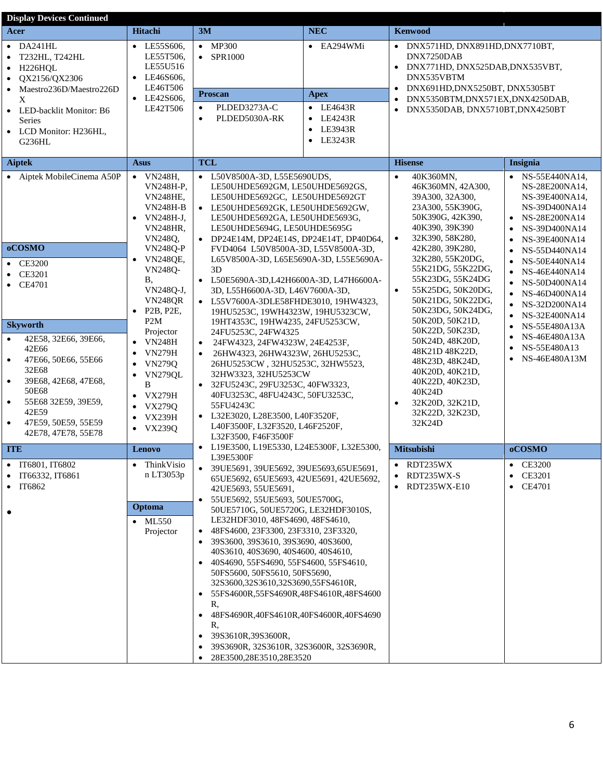| <b>Display Devices Continued</b>                                                                                                                                                                                                                                                                                                                |                                                                                                                                                                                                                                                                                                                                                                                                                                                                                                               |                                                                                                                                                                                                                                                                                                                                                                                                                                                                                                                                                                                                                                                                                                                                                                                                                                                                             |                                                                                                        |                                                                                                                                                                                                                                                                                                                                                                                                                                                                                                                                 |                                                                                                                                                                                                                                                                                                                                              |
|-------------------------------------------------------------------------------------------------------------------------------------------------------------------------------------------------------------------------------------------------------------------------------------------------------------------------------------------------|---------------------------------------------------------------------------------------------------------------------------------------------------------------------------------------------------------------------------------------------------------------------------------------------------------------------------------------------------------------------------------------------------------------------------------------------------------------------------------------------------------------|-----------------------------------------------------------------------------------------------------------------------------------------------------------------------------------------------------------------------------------------------------------------------------------------------------------------------------------------------------------------------------------------------------------------------------------------------------------------------------------------------------------------------------------------------------------------------------------------------------------------------------------------------------------------------------------------------------------------------------------------------------------------------------------------------------------------------------------------------------------------------------|--------------------------------------------------------------------------------------------------------|---------------------------------------------------------------------------------------------------------------------------------------------------------------------------------------------------------------------------------------------------------------------------------------------------------------------------------------------------------------------------------------------------------------------------------------------------------------------------------------------------------------------------------|----------------------------------------------------------------------------------------------------------------------------------------------------------------------------------------------------------------------------------------------------------------------------------------------------------------------------------------------|
| Acer                                                                                                                                                                                                                                                                                                                                            | <b>Hitachi</b>                                                                                                                                                                                                                                                                                                                                                                                                                                                                                                | 3M                                                                                                                                                                                                                                                                                                                                                                                                                                                                                                                                                                                                                                                                                                                                                                                                                                                                          | <b>NEC</b>                                                                                             | <b>Kenwood</b>                                                                                                                                                                                                                                                                                                                                                                                                                                                                                                                  |                                                                                                                                                                                                                                                                                                                                              |
| $\bullet$ DA241HL<br>T232HL, T242HL<br>$\bullet$<br>H226HQL<br>$\bullet$<br>QX2156/QX2306<br>$\bullet$<br>Maestro236D/Maestro226D<br>X<br>• LED-backlit Monitor: B6<br>Series<br>• LCD Monitor: H236HL,<br>G236HL                                                                                                                               | • LE55S606,<br>LE55T506,<br>LE55U516<br>LE46S606,<br>$\bullet$<br>LE46T506<br>$\bullet$ LE42S606,<br>LE42T506                                                                                                                                                                                                                                                                                                                                                                                                 | $\bullet$ MP300<br>$\bullet$ SPR1000<br><b>Proscan</b><br>PLDED3273A-C<br>$\bullet$<br>PLDED5030A-RK<br>$\bullet$                                                                                                                                                                                                                                                                                                                                                                                                                                                                                                                                                                                                                                                                                                                                                           | $\bullet$ EA294WMi<br>Apex<br>$\bullet$ LE4643R<br>$\bullet$ LE4243R<br>• LE3943R<br>$\bullet$ LE3243R | • DNX571HD, DNX891HD, DNX7710BT,<br>DNX7250DAB<br>DNX771HD, DNX525DAB, DNX535VBT,<br>$\bullet$<br>DNX535VBTM<br>DNX691HD, DNX5250BT, DNX5305BT<br>$\bullet$<br>DNX5350BTM,DNX571EX,DNX4250DAB,<br>DNX5350DAB, DNX5710BT, DNX4250BT<br>$\bullet$                                                                                                                                                                                                                                                                                 |                                                                                                                                                                                                                                                                                                                                              |
| <b>Aiptek</b>                                                                                                                                                                                                                                                                                                                                   | <b>Asus</b>                                                                                                                                                                                                                                                                                                                                                                                                                                                                                                   | <b>TCL</b>                                                                                                                                                                                                                                                                                                                                                                                                                                                                                                                                                                                                                                                                                                                                                                                                                                                                  |                                                                                                        | <b>Hisense</b>                                                                                                                                                                                                                                                                                                                                                                                                                                                                                                                  | Insignia                                                                                                                                                                                                                                                                                                                                     |
| • Aiptek MobileCinema A50P<br>oCOSMO<br><b>CE3200</b><br>$\bullet$<br>CE3201<br><b>CE4701</b><br>٠<br><b>Skyworth</b><br>42E58, 32E66, 39E66,<br>$\bullet$<br>42E66<br>47E66, 50E66, 55E66<br>$\bullet$<br>32E68<br>39E68, 42E68, 47E68,<br>$\bullet$<br>50E68<br>55E68 32E59, 39E59,<br>$\bullet$<br>42E59<br>47E59, 50E59, 55E59<br>$\bullet$ | $\bullet$ VN248H,<br><b>VN248H-P.</b><br><b>VN248HE,</b><br><b>VN248H-B</b><br>VN248H-J,<br><b>VN248HR.</b><br>VN2480,<br><b>VN248Q-P</b><br><b>VN248QE,</b><br>$\bullet$<br><b>VN248Q-</b><br>В,<br>VN248Q-J,<br><b>VN248QR</b><br>P <sub>2</sub> B, P <sub>2</sub> E,<br>$\bullet$<br>P <sub>2</sub> M<br>Projector<br><b>VN248H</b><br>$\bullet$<br><b>VN279H</b><br><b>VN279Q</b><br><b>VN279QL</b><br>$\bullet$<br>B<br><b>VX279H</b><br>$\bullet$<br><b>VX279Q</b><br><b>VX239H</b><br>$\bullet$ VX239Q | • L50V8500A-3D, L55E5690UDS,<br>LE50UHDE5692GM, LE50UHDE5692GS,<br>LE50UHDE5692GC, LE50UHDE5692GT<br>• LE50UHDE5692GK, LE50UHDE5692GW,<br>LE50UHDE5692GA, LE50UHDE5693G,<br>LE50UHDE5694G, LE50UHDE5695G<br>• DP24E14M, DP24E14S, DP24E14T, DP40D64,<br>FVD4064 L50V8500A-3D, L55V8500A-3D,<br>L65V8500A-3D, L65E5690A-3D, L55E5690A-<br>3D<br>• L50E5690A-3D,L42H6600A-3D, L47H6600A-<br>3D, L55H6600A-3D, L46V7600A-3D,<br>• L55V7600A-3DLE58FHDE3010, 19HW4323,<br>19HU5253C, 19WH4323W, 19HU5323CW,<br>19HT4353C, 19HW4235, 24FU5253CW,<br>24FU5253C, 24FW4325<br>24FW4323, 24FW4323W, 24E4253F,<br>$\bullet$<br>26HW4323, 26HW4323W, 26HU5253C,<br>26HU5253CW, 32HU5253C, 32HW5523,<br>32HW3323, 32HU5253CW<br>32FU5243C, 29FU3253C, 40FW3323,<br>40FU3253C, 48FU4243C, 50FU3253C,<br>55FU4243C<br>• L32E3020, L28E3500, L40F3520F,<br>L40F3500F, L32F3520, L46F2520F, |                                                                                                        | 40K360MN,<br>$\bullet$<br>46K360MN, 42A300,<br>39A300, 32A300,<br>23A300, 55K390G,<br>50K390G, 42K390,<br>40K390, 39K390<br>32K390, 58K280,<br>$\bullet$<br>42K280, 39K280,<br>32K280, 55K20DG,<br>55K21DG, 55K22DG,<br>55K23DG, 55K24DG<br>55K25DG, 50K20DG,<br>$\bullet$<br>50K21DG, 50K22DG,<br>50K23DG, 50K24DG,<br>50K20D, 50K21D,<br>50K22D, 50K23D,<br>50K24D, 48K20D,<br>48K21D 48K22D,<br>48K23D, 48K24D,<br>40K20D, 40K21D,<br>40K22D, 40K23D,<br>40K24D<br>32K20D, 32K21D,<br>$\bullet$<br>32K22D, 32K23D,<br>32K24D | • NS-55E440NA14,<br>NS-28E200NA14,<br>NS-39E400NA14,<br>NS-39D400NA14<br>NS-28E200NA14<br>NS-39D400NA14<br>NS-39E400NA14<br>$\bullet$<br>NS-55D440NA14<br>NS-50E440NA14<br>NS-46E440NA14<br>NS-50D400NA14<br>NS-46D400NA14<br>$\bullet$<br>NS-32D200NA14<br>NS-32E400NA14<br>NS-55E480A13A<br>NS-46E480A13A<br>NS-55E480A13<br>NS-46E480A13M |
| 42E78, 47E78, 55E78<br><b>ITE</b>                                                                                                                                                                                                                                                                                                               | <b>Lenovo</b>                                                                                                                                                                                                                                                                                                                                                                                                                                                                                                 | L32F3500, F46F3500F<br>L19E3500, L19E5330, L24E5300F, L32E5300,<br>$\bullet$                                                                                                                                                                                                                                                                                                                                                                                                                                                                                                                                                                                                                                                                                                                                                                                                |                                                                                                        | <b>Mitsubishi</b>                                                                                                                                                                                                                                                                                                                                                                                                                                                                                                               | oCOSMO                                                                                                                                                                                                                                                                                                                                       |
| IT6801, IT6802<br>$\bullet$<br>IT66332, IT6861<br>IT6862                                                                                                                                                                                                                                                                                        | ThinkVisio<br>$\bullet$<br>n LT3053p<br>Optoma<br>$\bullet$ ML550<br>Projector                                                                                                                                                                                                                                                                                                                                                                                                                                | L39E5300F<br>39UE5691, 39UE5692, 39UE5693, 65UE5691,<br>$\bullet$<br>65UE5692, 65UE5693, 42UE5691, 42UE5692,<br>42UE5693, 55UE5691,<br>55UE5692, 55UE5693, 50UE5700G,<br>$\bullet$<br>50 UE5710 G, 50 UE5720 G, LE32 HDF3010 S,<br>LE32HDF3010, 48FS4690, 48FS4610,<br>48FS4600, 23F3300, 23F3310, 23F3320,<br>$\bullet$<br>39S3600, 39S3610, 39S3690, 40S3600,<br>$\bullet$<br>40S3610, 40S3690, 40S4600, 40S4610,<br>40S4690, 55FS4690, 55FS4600, 55FS4610,<br>$\bullet$<br>50FS5600, 50FS5610, 50FS5690,<br>32S3600,32S3610,32S3690,55FS4610R,<br>55FS4600R,55FS4690R,48FS4610R,48FS4600<br>$\bullet$<br>R,<br>48FS4690R,40FS4610R,40FS4600R,40FS4690<br>٠<br>R,<br>39S3610R,39S3600R,<br>39S3690R, 32S3610R, 32S3600R, 32S3690R,<br>$\bullet$<br>28E3500,28E3510,28E3520                                                                                                |                                                                                                        | RDT235WX<br>RDT235WX-S<br>$\bullet$<br>RDT235WX-E10<br>٠                                                                                                                                                                                                                                                                                                                                                                                                                                                                        | $\bullet$ CE3200<br><b>CE3201</b><br>• CE4701                                                                                                                                                                                                                                                                                                |